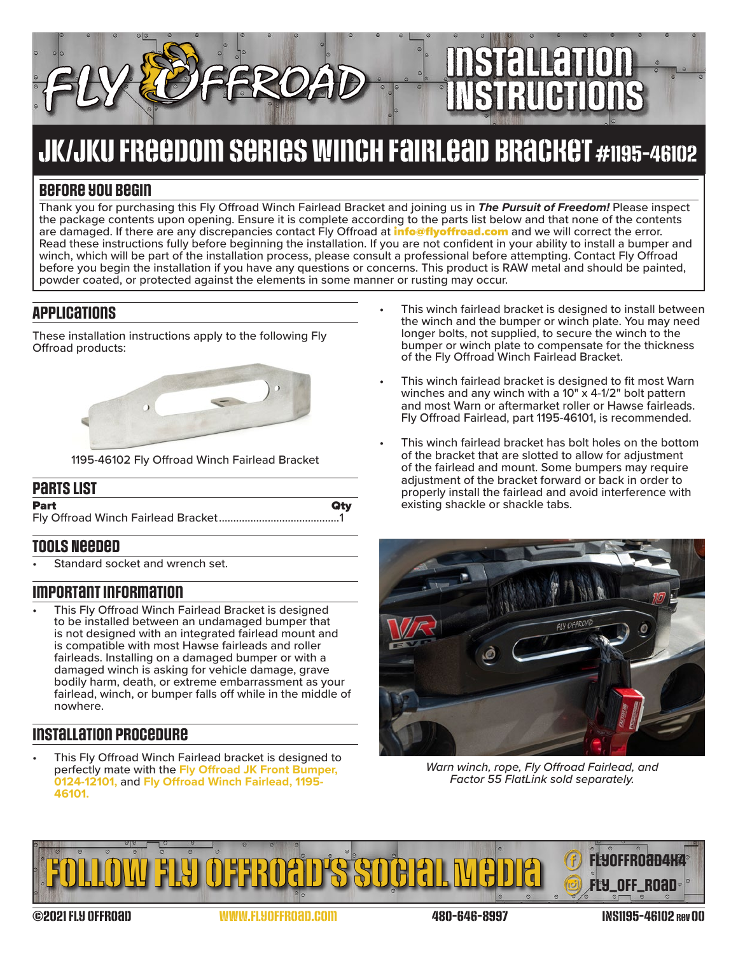# Installation INstructions

# JK/JKU Freedom Series Winch Fairlead bracket #1195-46102

# **Before you begin**

Thank you for purchasing this Fly Offroad Winch Fairlead Bracket and joining us in *The Pursuit of Freedom!* Please inspect the package contents upon opening. Ensure it is complete according to the parts list below and that none of the contents are damaged. If there are any discrepancies contact Fly Offroad at **[info@flyoffroad.com](mailto:info%40flyoffroad.com?subject=Question%20on%20Instructions)** and we will correct the error. Read these instructions fully before beginning the installation. If you are not confident in your ability to install a bumper and winch, which will be part of the installation process, please consult a professional before attempting. Contact Fly Offroad before you begin the installation if you have any questions or concerns. This product is RAW metal and should be painted, powder coated, or protected against the elements in some manner or rusting may occur.

## **Applications**

These installation instructions apply to the following Fly Offroad products:



1195-46102 Fly Offroad Winch Fairlead Bracket

#### **Parts List**

| <b>Part</b> | Qtv |
|-------------|-----|
|             |     |

### **Tools Needed**

Standard socket and wrench set.

#### **Important information**

This Fly Offroad Winch Fairlead Bracket is designed to be installed between an undamaged bumper that is not designed with an integrated fairlead mount and is compatible with most Hawse fairleads and roller fairleads. Installing on a damaged bumper or with a damaged winch is asking for vehicle damage, grave bodily harm, death, or extreme embarrassment as your fairlead, winch, or bumper falls off while in the middle of nowhere.

# **Installation procedure**

This Fly Offroad Winch Fairlead bracket is designed to perfectly mate with the **[Fly Offroad JK Front Bumper,](https://flyoffroad.com/product/front-bumper-stubby-2007-2018-jeep-jk-wrangler-2-4wd/)  [0124-12101,](https://flyoffroad.com/product/front-bumper-stubby-2007-2018-jeep-jk-wrangler-2-4wd/)** and **[Fly Offroad Winch Fairlead, 1195-](https://flyoffroad.com/product/universal-winch-fairlead-bracket/) [46101.](https://flyoffroad.com/product/universal-winch-fairlead-bracket/)**

- This winch fairlead bracket is designed to install between the winch and the bumper or winch plate. You may need longer bolts, not supplied, to secure the winch to the bumper or winch plate to compensate for the thickness of the Fly Offroad Winch Fairlead Bracket.
- This winch fairlead bracket is designed to fit most Warn winches and any winch with a  $10'' \times 4-1/2''$  bolt pattern and most Warn or aftermarket roller or Hawse fairleads. Fly Offroad Fairlead, part 1195-46101, is recommended.
- This winch fairlead bracket has bolt holes on the bottom of the bracket that are slotted to allow for adjustment of the fairlead and mount. Some bumpers may require adjustment of the bracket forward or back in order to properly install the fairlead and avoid interference with existing shackle or shackle tabs.



*Warn winch, rope, Fly Offroad Fairlead, and Factor 55 FlatLink sold separately.*



©2021 Fly Offroad [www.FlyOffroad.com](https://FlyOffroad.com) 480-646-8997 INS1195-46102 rev 00